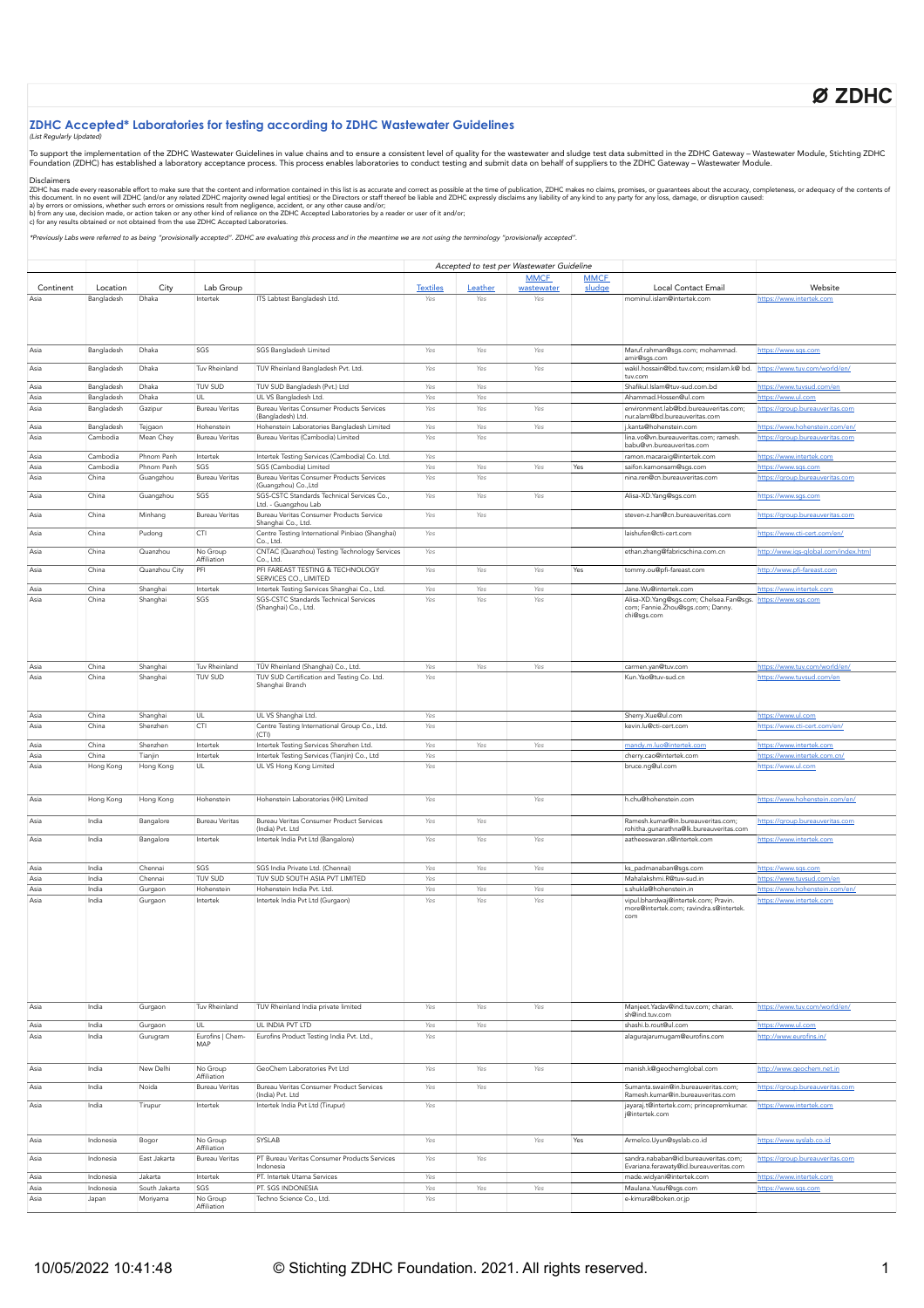# Ø ZDHC

## **ZDHC Accepted\* Laboratories for testing according to ZDHC Wastewater Guidelines**

## (List Regularly Updat

To support the implementation of the ZDHC Wastewater Guidelines in value chains and to ensure a consistent level of quality for the wastewater and sludge test data submitted in the ZDHC Gateway – Wastewater Module, Stichti

### Disclaimers

ZDHC has made every reasonable effort to make sure that the content and information contained in this list is a accurate and correct as possible at the time of publication, ZDHC makes no claims, promises, or guarantees abo

\*Previously Labs were referred to as being "provisionally accepted". ZDHC are evaluating this process and in the meantime we are not using the terminology "provisionally accepted".

|           |            | Accepted to test per Wastewater Guideline |                         |                                                       |                     |         |             |             |                                                      |                                      |
|-----------|------------|-------------------------------------------|-------------------------|-------------------------------------------------------|---------------------|---------|-------------|-------------|------------------------------------------------------|--------------------------------------|
|           |            |                                           |                         |                                                       |                     |         | <b>MMCF</b> | <b>MMCF</b> |                                                      |                                      |
| Continent | Location   | City                                      | Lab Group               |                                                       | <b>Textiles</b>     | Leather | wastewater  | sludge      | Local Contact Email                                  | Website                              |
| Asia      | Bangladesh | Dhaka                                     | Intertek                | ITS Labtest Bangladesh Ltd.                           | Yes                 | Yes     | Yes         |             | mominul.islam@intertek.com                           | https://www.intertek.com             |
|           |            |                                           |                         |                                                       |                     |         |             |             |                                                      |                                      |
|           |            |                                           |                         |                                                       |                     |         |             |             |                                                      |                                      |
|           |            |                                           |                         |                                                       |                     |         |             |             |                                                      |                                      |
|           |            |                                           |                         |                                                       |                     |         |             |             |                                                      |                                      |
|           |            |                                           |                         |                                                       |                     |         |             |             |                                                      |                                      |
| Asia      | Bangladesh | Dhaka                                     | SGS                     | SGS Bangladesh Limited                                | $\gamma_{\theta S}$ | Yes     | Yes         |             | Maruf.rahman@sgs.com; mohammad.                      | https://www.sgs.com                  |
|           |            |                                           |                         |                                                       |                     |         |             |             | amir@sqs.com                                         |                                      |
| Asia      | Bangladesh | Dhaka                                     | Tuv Rheinland           | TUV Rheinland Bangladesh Pvt. Ltd.                    | Yes                 | Yes     | Yes         |             | wakil.hossain@bd.tuv.com; msislam.k@ bd.             | https://www.tuv.com/world/en/        |
|           |            |                                           |                         |                                                       |                     |         |             |             | tuv.com                                              |                                      |
| Asia      | Bangladesh | Dhaka                                     | TUV SUD                 | TUV SUD Bangladesh (Pvt.) Ltd                         | Yes                 | Yes     |             |             | Shafikul.Islam@tuv-sud.com.bd                        | https://www.tuvsud.com/en            |
| Asia      | Bangladesh | Dhaka                                     | UL                      | UL VS Bangladesh Ltd.                                 | Yes                 | Yes     |             |             | Ahammad.Hossen@ul.com                                | https://www.ul.com                   |
| Asia      |            |                                           | <b>Bureau Veritas</b>   | Bureau Veritas Consumer Products Services             | Yes                 | Yes     | Yes         |             | environment.lab@bd.bureauveritas.com;                | https://group.bureauveritas.com      |
|           | Bangladesh | Gazipur                                   |                         | (Bangladesh) Ltd.                                     |                     |         |             |             | nur.alam@bd.bureauveritas.com                        |                                      |
| Asia      | Bangladesh |                                           | Hohenstein              | Hohenstein Laboratories Bangladesh Limited            | Yes                 | Yes     | Yes         |             | j.kanta@hohenstein.com                               |                                      |
|           |            | Tejgaon                                   |                         |                                                       |                     |         |             |             |                                                      | https://www.hohenstein.com/en/       |
| Asia      | Cambodia   | Mean Chey                                 | <b>Bureau Veritas</b>   | Bureau Veritas (Cambodia) Limited                     | Yes                 | Yes     |             |             | lina.vo@vn.bureauveritas.com; ramesh.                | https://group.bureauveritas.com      |
|           |            |                                           |                         |                                                       |                     |         |             |             | babu@vn.bureauveritas.com                            |                                      |
| Asia      | Cambodia   | Phnom Penh                                | Intertek                | Intertek Testing Services (Cambodia) Co. Ltd.         | Yes                 |         |             |             | ramon.macaraig@intertek.com                          | https://www.intertek.com             |
| Asia      | Cambodia   | Phnom Penh                                | SGS                     | SGS (Cambodia) Limited                                | Yes                 | Yes     | Yes         | Yes         | saifon.kamonsarn@sqs.com                             | https://www.sgs.com                  |
| Asia      | China      | Guangzhou                                 | <b>Bureau Veritas</b>   | Bureau Veritas Consumer Products Services             | Yes                 | Yes     |             |             | nina.ren@cn.bureauveritas.com                        | https://group.bureauveritas.com      |
|           |            |                                           |                         | (Guangzhou) Co., Ltd                                  |                     |         |             |             |                                                      |                                      |
| Asia      | China      | Guangzhou                                 | SGS                     | SGS-CSTC Standards Technical Services Co.,            | Yes                 | Yes     | Yes         |             | Alisa-XD.Yang@sgs.com                                | https://www.sqs.com                  |
|           |            |                                           |                         | Ltd. - Guangzhou Lab                                  |                     |         |             |             |                                                      |                                      |
| Asia      | China      | Minhang                                   | <b>Bureau Veritas</b>   | Bureau Veritas Consumer Products Service              | Yes                 | Yes     |             |             | steven-z.han@cn.bureauveritas.com                    | https://group.bureauveritas.com      |
|           |            |                                           |                         | Shanghai Co., Ltd.                                    |                     |         |             |             |                                                      |                                      |
| Asia      | China      | Pudong                                    | CTI                     | Centre Testing International Pinbiao (Shanghai)       | Yes                 |         |             |             | laishufen@cti-cert.com                               | https://www.cti-cert.com/en/         |
|           |            |                                           |                         | Co., Ltd.                                             |                     |         |             |             |                                                      |                                      |
|           |            |                                           |                         |                                                       |                     |         |             |             |                                                      |                                      |
| Asia      | China      | Quanzhou                                  | No Group                | CNTAC (Quanzhou) Testing Technology Services          | Yes                 |         |             |             | ethan.zhang@fabricschina.com.cn                      | http://www.iqs-global.com/index.html |
|           |            |                                           | Affiliation             | Co., Ltd.                                             |                     |         |             |             |                                                      |                                      |
| Asia      | China      | Quanzhou City                             | PFI                     | PFI FAREAST TESTING & TECHNOLOGY                      | Yes                 | Yes     | Yes         | Yes         | tommy.ou@pfi-fareast.com                             | http://www.pfi-fareast.com           |
|           |            |                                           |                         | SERVICES CO., LIMITED                                 |                     |         |             |             |                                                      |                                      |
| Asia      | China      | Shanghai                                  | Intertek                | Intertek Testing Services Shanghai Co., Ltd.          | Yes                 | Yes     | Yes         |             | Jane.Wu@intertek.com                                 | https://www.intertek.com             |
| Asia      | China      | Shanghai                                  | SGS                     | SGS-CSTC Standards Technical Services                 | Yes                 | Yes     | Yes         |             | Alisa-XD.Yang@sgs.com; Chelsea.Fan@sgs.              | https://www.sgs.com                  |
|           |            |                                           |                         | (Shanghai) Co., Ltd.                                  |                     |         |             |             | com; Fannie.Zhou@sgs.com; Danny.                     |                                      |
|           |            |                                           |                         |                                                       |                     |         |             |             | chi@sgs.com                                          |                                      |
|           |            |                                           |                         |                                                       |                     |         |             |             |                                                      |                                      |
|           |            |                                           |                         |                                                       |                     |         |             |             |                                                      |                                      |
|           |            |                                           |                         |                                                       |                     |         |             |             |                                                      |                                      |
|           |            |                                           |                         |                                                       |                     |         |             |             |                                                      |                                      |
|           |            |                                           |                         |                                                       |                     |         |             |             |                                                      |                                      |
| Asia      | China      | Shanghai                                  | Tuv Rheinland           | TÜV Rheinland (Shanghai) Co., Ltd.                    | Yes                 | Yes     | Yes         |             | carmen.yan@tuv.com                                   | https://www.tuv.com/world/en/        |
| Asia      | China      | Shanghai                                  | TUV SUD                 | TUV SUD Certification and Testing Co. Ltd.            | Yes                 |         |             |             | Kun.Yao@tuv-sud.cn                                   | https://www.tuvsud.com/en            |
|           |            |                                           |                         | Shanghai Branch                                       |                     |         |             |             |                                                      |                                      |
|           |            |                                           |                         |                                                       |                     |         |             |             |                                                      |                                      |
|           |            |                                           |                         |                                                       |                     |         |             |             |                                                      |                                      |
| Asia      | China      | Shanghai                                  | UL                      | UL VS Shanghai Ltd.                                   | Yes                 |         |             |             | Sherry.Xue@ul.com                                    | https://www.ul.com                   |
| Asia      | China      | Shenzhen                                  | CTI                     |                                                       |                     |         |             |             | kevin.lu@cti-cert.com                                |                                      |
|           |            |                                           |                         | Centre Testing International Group Co., Ltd.<br>(CTI) | Yes                 |         |             |             |                                                      | https://www.cti-cert.com/en/         |
|           |            |                                           |                         |                                                       |                     |         |             |             |                                                      |                                      |
| Asia      | China      | Shenzhen                                  | Intertek                | Intertek Testing Services Shenzhen Ltd.               | Yes                 | Yes     | Yes         |             | mandy.m.luo@intertek.com                             | https://www.intertek.com             |
| Asia      | China      | Tianjin                                   | Intertek                | Intertek Testing Services (Tianjin) Co., Ltd          | Yes                 |         |             |             | cherry.cao@intertek.com                              | https://www.intertek.com.cn/         |
| Asia      | Hong Kong  | Hong Kong                                 | UL                      | UL VS Hong Kong Limited                               | Yes                 |         |             |             | bruce.ng@ul.com                                      | https://www.ul.com                   |
|           |            |                                           |                         |                                                       |                     |         |             |             |                                                      |                                      |
|           |            |                                           |                         |                                                       |                     |         |             |             |                                                      |                                      |
|           |            |                                           |                         |                                                       |                     |         |             |             |                                                      |                                      |
| Asia      | Hong Kong  | Hong Kong                                 | Hohenstein              | Hohenstein Laboratories (HK) Limited                  | Yes                 |         | Yes         |             | h.chu@hohenstein.com                                 | https://www.hohenstein.com/en/       |
|           |            |                                           |                         |                                                       |                     |         |             |             |                                                      |                                      |
| Asia      | India      | Bangalore                                 | <b>Bureau Veritas</b>   | Bureau Veritas Consumer Product Services              | Yes                 | Yes     |             |             | Ramesh.kumar@in.bureauveritas.com;                   | https://group.bureauveritas.com      |
|           |            |                                           |                         | (India) Pvt. Ltd                                      |                     |         |             |             | rohitha.qunarathna@lk.bureauveritas.com              |                                      |
| Asia      | India      | Bangalore                                 | Intertek                | Intertek India Pvt Ltd (Bangalore)                    | Yes                 | Yes     | Yes         |             | aatheeswaran.s@intertek.com                          | https://www.intertek.com             |
|           |            |                                           |                         |                                                       |                     |         |             |             |                                                      |                                      |
|           |            |                                           |                         |                                                       |                     |         |             |             |                                                      |                                      |
|           |            | Chennai                                   | SGS                     | SGS India Private Ltd. (Chennai)                      |                     |         |             |             |                                                      |                                      |
| Asia      | India      |                                           |                         |                                                       | Yes                 | Yes     | Yes         |             | ks_padmanaban@sgs.com                                | https://www.sgs.com                  |
| Asia      | India      | Chennai                                   | TUV SUD                 | TUV SUD SOUTH ASIA PVT LIMITED                        | Yes                 |         |             |             | Mahalakshmi.R@tuv-sud.in                             | https://www.tuvsud.com/en            |
| Asia      | India      | Gurgaon                                   | Hohenstein              | Hohenstein India Pvt. Ltd.                            | Yes                 | Yes     | Yes         |             | s.shukla@hohenstein.in                               | https://www.hohenstein.com/en/       |
| Asia      | India      | Gurgaon                                   | Intertek                | Intertek India Pvt Ltd (Gurgaon)                      | Yes                 | Yes     | Yes         |             | vipul.bhardwaj@intertek.com; Pravin.                 | https://www.intertek.com             |
|           |            |                                           |                         |                                                       |                     |         |             |             | more@intertek.com; ravindra.s@intertek.              |                                      |
|           |            |                                           |                         |                                                       |                     |         |             |             | com                                                  |                                      |
|           |            |                                           |                         |                                                       |                     |         |             |             |                                                      |                                      |
|           |            |                                           |                         |                                                       |                     |         |             |             |                                                      |                                      |
|           |            |                                           |                         |                                                       |                     |         |             |             |                                                      |                                      |
|           |            |                                           |                         |                                                       |                     |         |             |             |                                                      |                                      |
|           |            |                                           |                         |                                                       |                     |         |             |             |                                                      |                                      |
|           |            |                                           |                         |                                                       |                     |         |             |             |                                                      |                                      |
|           |            |                                           |                         |                                                       |                     |         |             |             |                                                      |                                      |
|           |            |                                           |                         |                                                       |                     |         |             |             |                                                      |                                      |
|           |            |                                           |                         |                                                       |                     |         |             |             |                                                      |                                      |
|           |            |                                           |                         |                                                       |                     |         |             |             |                                                      |                                      |
| Asia      | India      | Gurgaon                                   | Tuv Rheinland           | TUV Rheinland India private limited                   | Yes                 | Yes     | Yes         |             | Manjeet.Yadav@ind.tuv.com; charan.<br>sh@ind.tuv.com | https://www.tuv.com/world/en/        |
|           |            |                                           |                         |                                                       |                     |         |             |             |                                                      |                                      |
| Asia      | India      | Gurgaon                                   | <b>UL</b>               | UL INDIA PVT LTD                                      | Yes                 | Yes     |             |             | shashi.b.rout@ul.com                                 | https://www.ul.com                   |
| Asia      | India      | Gurugram                                  | Eurofins   Chem-        | Eurofins Product Testing India Pvt. Ltd.,             | Yes                 |         |             |             | alaqurajarumuqam@eurofins.com                        | http://www.eurofins.in/              |
|           |            |                                           | MAP                     |                                                       |                     |         |             |             |                                                      |                                      |
|           |            |                                           |                         |                                                       |                     |         |             |             |                                                      |                                      |
|           |            |                                           |                         |                                                       |                     |         |             |             |                                                      |                                      |
| Asia      | India      | New Delhi                                 | No Group                | GeoChem Laboratories Pvt Ltd                          | Yes                 | Yes     | Yes         |             | manish.k@qeochemqlobal.com                           | http://www.qeochem.net.in            |
|           |            |                                           | Affiliation             |                                                       |                     |         |             |             |                                                      |                                      |
| Asia      | India      | Noida                                     | <b>Bureau Veritas</b>   | Bureau Veritas Consumer Product Services              | Yes                 | Yes     |             |             | Sumanta.swain@in.bureauveritas.com;                  | https://group.bureauveritas.com      |
|           |            |                                           |                         | (India) Pvt. Ltd                                      |                     |         |             |             | Ramesh.kumar@in.bureauveritas.com                    |                                      |
| Asia      | India      | Tirupur                                   | Intertek                | Intertek India Pvt Ltd (Tirupur)                      | Yes                 |         |             |             | jayaraj.t@intertek.com; princepremkumar.             | https://www.intertek.com             |
|           |            |                                           |                         |                                                       |                     |         |             |             | j@intertek.com                                       |                                      |
|           |            |                                           |                         |                                                       |                     |         |             |             |                                                      |                                      |
|           |            |                                           |                         |                                                       |                     |         |             |             |                                                      |                                      |
| Asia      | Indonesia  | Bogor                                     | No Group                | SYSLAB                                                | Yes                 |         | Yes         | Yes         | Armelco.Uyun@syslab.co.id                            | https://www.syslab.co.id             |
|           |            |                                           | Affiliation             |                                                       |                     |         |             |             |                                                      |                                      |
| Asia      | Indonesia  | East Jakarta                              | <b>Bureau Veritas</b>   | PT Bureau Veritas Consumer Products Services          | Yes                 | Yes     |             |             | sandra.nababan@id.bureauveritas.com;                 | https://group.bureauveritas.com      |
|           |            |                                           |                         | Indonesia                                             |                     |         |             |             | Evariana.ferawaty@id.bureauveritas.com               |                                      |
| Asia      | Indonesia  | Jakarta                                   | Intertek                | PT. Intertek Utama Services                           | Yes                 |         |             |             | made.widyani@intertek.com                            | https://www.intertek.com             |
| Asia      | Indonesia  | South Jakarta                             | SGS                     | PT. SGS INDONESIA                                     | Yes                 | Yes     | Yes         |             | Maulana.Yusuf@sgs.com                                | https://www.sgs.com                  |
|           |            |                                           |                         |                                                       |                     |         |             |             |                                                      |                                      |
| Asia      | Japan      | Moriyama                                  | No Group<br>Affiliation | Techno Science Co., Ltd.                              | Yes                 |         |             |             | e-kimura@boken.or.jp                                 |                                      |
|           |            |                                           |                         |                                                       |                     |         |             |             |                                                      |                                      |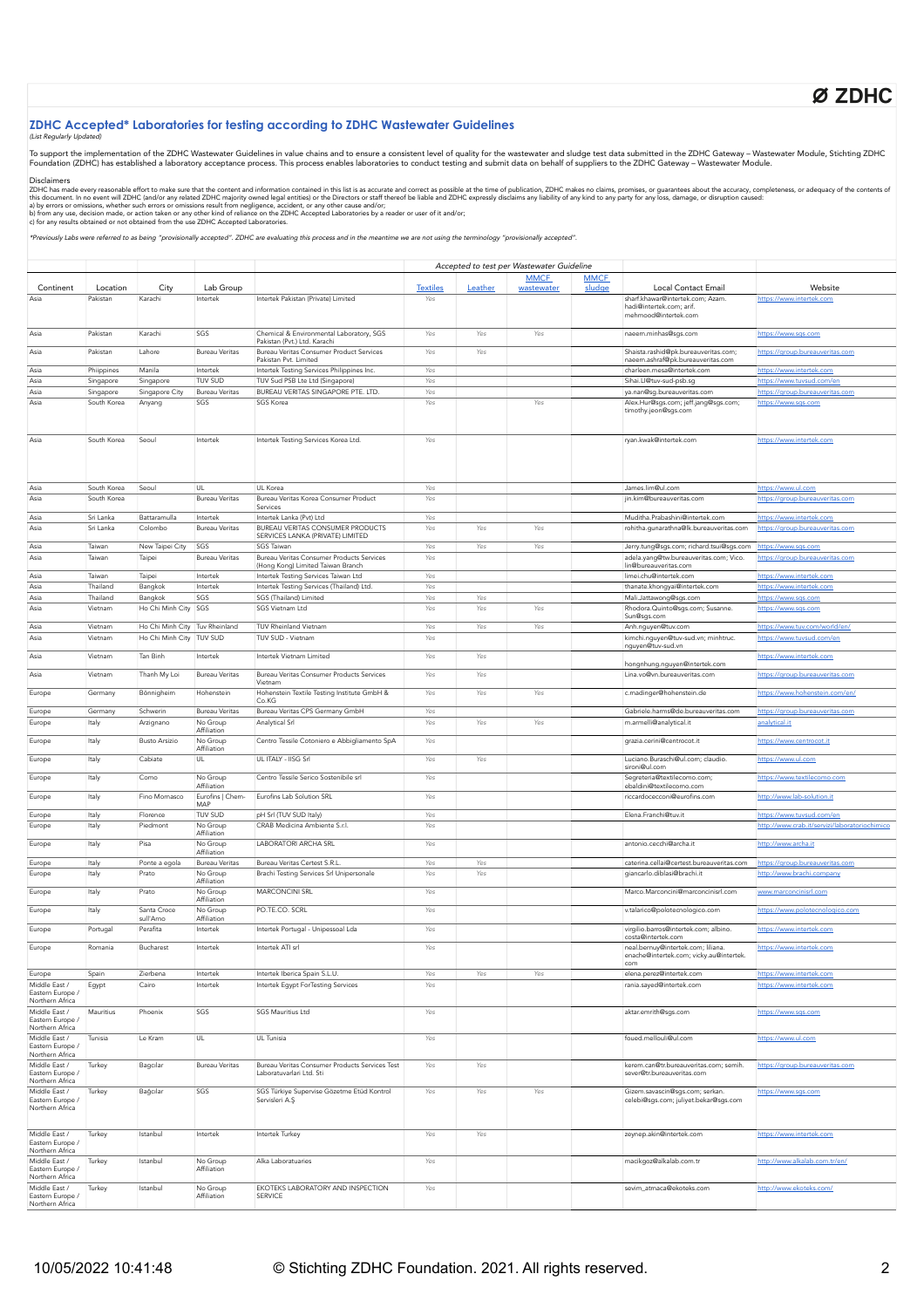# Ø ZDHC

## **ZDHC Accepted\* Laboratories for testing according to ZDHC Wastewater Guidelines**

## (List Regularly Updat

To support the implementation of the ZDHC Wastewater Guidelines in value chains and to ensure a consistent level of quality for the wastewater and sludge test data submitted in the ZDHC Gateway – Wastewater Module, Stichti

#### Disclaimers

ZDHC has made every reasonable effort to make sure that the content and information contained in this list is a accurate and correct as possible at the time of publication, ZDHC makes no claims, promises, or guarantees abo

\*Previously Labs were referred to as being "provisionally accepted". ZDHC are evaluating this process and in the meantime we are not using the terminology "provisionally accepted".

|                                                                         |                |                                |                                   |                                                                            |                 |            | Accepted to test per Wastewater Guideline |                       |                                                                               |                                                              |
|-------------------------------------------------------------------------|----------------|--------------------------------|-----------------------------------|----------------------------------------------------------------------------|-----------------|------------|-------------------------------------------|-----------------------|-------------------------------------------------------------------------------|--------------------------------------------------------------|
| Continent                                                               | Location       | City                           | Lab Group                         |                                                                            | <b>Textiles</b> | Leather    | <b>MMCF</b><br>wastewater                 | <b>MMCF</b><br>sludge | Local Contact Email                                                           | Website                                                      |
| Asia                                                                    | Pakistan       | Karachi                        | Intertek                          | Intertek Pakistan (Private) Limited                                        | Yes             |            |                                           |                       | sharf.khawar@intertek.com; Azam                                               | https://www.intertek.com                                     |
|                                                                         |                |                                |                                   |                                                                            |                 |            |                                           |                       | hadi@intertek.com; arif.<br>mehmood@intertek.com                              |                                                              |
| Asia                                                                    | Pakistan       | Karachi                        | SGS                               | Chemical & Environmental Laboratory, SGS<br>Pakistan (Pvt.) Ltd. Karachi   | Yes             | Yes        | Yes                                       |                       | naeem.minhas@sgs.com                                                          | https://www.sgs.com                                          |
| Asia                                                                    | Pakistan       | Lahore                         | <b>Bureau Veritas</b>             | Bureau Veritas Consumer Product Services<br>Pakistan Pvt. Limited          | Yes             | Yes        |                                           |                       | Shaista.rashid@pk.bureauveritas.com;<br>naeem.ashraf@pk.bureauveritas.com     | https://group.bureauveritas.com                              |
| Asia                                                                    | Phiippines     | Manila                         | Intertek                          | Intertek Testing Services Philippines Inc.                                 | Yes             |            |                                           |                       | charleen.mesa@intertek.com                                                    | https://www.intertek.com                                     |
| Asia                                                                    | Singapore      | Singapore                      | TUV SUD                           | TUV Sud PSB Lte Ltd (Singapore)                                            | Yes             |            |                                           |                       | Sihai.Ll@tuv-sud-psb.sg                                                       | https://www.tuvsud.com/en                                    |
| Asia                                                                    | Singapore      | Singapore City                 | <b>Bureau Veritas</b>             | BUREAU VERITAS SINGAPORE PTE. LTD.                                         | Yes             |            |                                           |                       | ya.nan@sg.bureauveritas.com                                                   | https://group.bureauveritas.com                              |
| Asia                                                                    | South Korea    | Anyang                         | SGS                               | <b>SGS Korea</b>                                                           | Yes             |            | Yes                                       |                       | Alex.Hur@sgs.com; jeff.jang@sgs.com;<br>timothy.jeon@sgs.com                  | https://www.sgs.com                                          |
| Asia                                                                    | South Korea    | Seoul                          | Intertek                          | Intertek Testing Services Korea Ltd.                                       | Yes             |            |                                           |                       | ryan.kwak@intertek.com                                                        | https://www.intertek.com                                     |
| Asia                                                                    | South Korea    | Seoul                          | UL                                | UL Korea                                                                   | Yes             |            |                                           |                       | James.lim@ul.com                                                              | https://www.ul.com                                           |
| Asia                                                                    | South Korea    |                                | Bureau Veritas                    | Bureau Veritas Korea Consumer Product                                      | Yes             |            |                                           |                       | jin.kim@bureauveritas.com                                                     | https://group.bureauveritas.com                              |
|                                                                         |                |                                |                                   | Services                                                                   |                 |            |                                           |                       |                                                                               |                                                              |
| Asia                                                                    | Sri Lanka      | Battaramulla                   | Intertek                          | Intertek Lanka (Pvt) Ltd                                                   | Yes             |            |                                           |                       | Muditha.Prabashini@intertek.com                                               | https://www.intertek.com                                     |
| Asia                                                                    | Sri Lanka      | Colombo                        | <b>Bureau Veritas</b>             | BUREAU VERITAS CONSUMER PRODUCTS<br>SERVICES LANKA (PRIVATE) LIMITED       | Yes             | Yes        | Yes                                       |                       | rohitha.gunarathna@lk.bureauveritas.com                                       | https://group.bureauveritas.com                              |
| Asia                                                                    | Taiwan         | New Taipei City                | SGS                               | SGS Taiwan                                                                 | Yes             | Yes        | Yes                                       |                       | Jerry.tung@sgs.com; richard.tsui@sgs.com                                      | https://www.sgs.com                                          |
| Asia                                                                    | Taiwan         | Taipei                         | Bureau Veritas                    | Bureau Veritas Consumer Products Services                                  | Yes             |            |                                           |                       | adela.yang@tw.bureauveritas.com; Vico.                                        | https://group.bureauveritas.com                              |
|                                                                         |                |                                |                                   | (Hong Kong) Limited Taiwan Branch                                          |                 |            |                                           |                       | lin@bureauveritas.com                                                         |                                                              |
| Asia                                                                    | Taiwan         | Taipei                         | Intertek                          | Intertek Testing Services Taiwan Ltd                                       | Yes             |            |                                           |                       | limei.chu@intertek.com                                                        | https://www.intertek.com                                     |
| Asia                                                                    | Thailand       | Bangkok                        | Intertek                          | Intertek Testing Services (Thailand) Ltd.                                  | Yes             |            |                                           |                       | thanate.khongyai@intertek.com                                                 | https://www.intertek.com                                     |
| Asia                                                                    | Thailand       | Bangkok                        | SGS                               | SGS (Thailand) Limited                                                     | Yes             | Yes        |                                           |                       | Mali.Jattawong@sgs.com                                                        | https://www.sgs.com                                          |
| Asia                                                                    | Vietnam        | Ho Chi Minh City               | SGS                               | SGS Vietnam Ltd                                                            | Yes             | Yes        | Yes                                       |                       | Rhodora.Quinto@sgs.com; Susanne.<br>Sun@sgs.com                               | https://www.sgs.com                                          |
| Asia                                                                    | Vietnam        | Ho Chi Minh City Tuv Rheinland |                                   | TUV Rheinland Vietnam                                                      | Yes             | Yes        | Yes                                       |                       | Anh.nguyen@tuv.com                                                            | https://www.tuv.com/world/en/                                |
| Asia                                                                    | Vietnam        | Ho Chi Minh City TUV SUD       |                                   | TUV SUD - Vietnam                                                          | Yes             |            |                                           |                       | kimchi.nguyen@tuv-sud.vn; minhtruc.                                           | https://www.tuvsud.com/en                                    |
| Asia                                                                    | Vietnam        | Tan Binh                       | Intertek                          | Intertek Vietnam Limited                                                   | Yes             | Yes        |                                           |                       | nguyen@tuv-sud.vn                                                             | https://www.intertek.com                                     |
| Asia                                                                    | Vietnam        | Thanh My Loi                   | <b>Bureau Veritas</b>             | Bureau Veritas Consumer Products Services                                  | Yes             | Yes        |                                           |                       | hongnhung.nguyen@intertek.com<br>Lina.vo@vn.bureauveritas.com                 | https://group.bureauveritas.com                              |
| Europe                                                                  | Germany        | Bönnigheim                     | Hohenstein                        | Vietnam<br>Hohenstein Textile Testing Institute GmbH &                     | Yes             | Yes        | Yes                                       |                       | c.madinger@hohenstein.de                                                      | https://www.hohenstein.com/en/                               |
| Europe                                                                  | Germany        | Schwerin                       | <b>Bureau Veritas</b>             | Co.KG<br>Bureau Veritas CPS Germany GmbH                                   | Yes             |            |                                           |                       | Gabriele.harms@de.bureauveritas.com                                           | https://group.bureauveritas.com                              |
| Europe                                                                  | Italy          | Arzignano                      | No Group                          | Analytical Srl                                                             | Yes             | Yes        | Yes                                       |                       | m.armelli@analytical.it                                                       | analytical.it                                                |
|                                                                         |                |                                | Affiliation                       |                                                                            |                 |            |                                           |                       |                                                                               |                                                              |
| Europe                                                                  | Italy          | <b>Busto Arsizio</b>           | No Group<br>Affiliation           | Centro Tessile Cotoniero e Abbigliamento SpA                               | Yes             |            |                                           |                       | grazia.cerini@centrocot.it                                                    | https://www.centrocot.it                                     |
| Europe                                                                  | Italy          | Cabiate                        | UL                                | UL ITALY - IISG Srl                                                        | Yes             | Yes        |                                           |                       | Luciano.Buraschi@ul.com; claudio.<br>sironi@ul.com                            | https://www.ul.com                                           |
| Europe                                                                  | Italy          | Como                           | No Group<br>Affiliation           | Centro Tessile Serico Sostenibile srl                                      | Yes             |            |                                           |                       | Segreteria@textilecomo.com;<br>ebaldini@textilecomo.com                       | https://www.textilecomo.com                                  |
| Europe                                                                  | Italy          | Fino Mornasco                  | Eurofins   Chem-<br>MAP           | Eurofins Lab Solution SRL                                                  | Yes             |            |                                           |                       | riccardocecconi@eurofins.com                                                  | http://www.lab-solution.it                                   |
| Europe                                                                  | Italy          | Florence                       | TUV SUD                           | pH Srl (TUV SUD Italy)                                                     | Yes             |            |                                           |                       | Elena.Franchi@tuv.it                                                          | https://www.tuvsud.com/en                                    |
| Europe                                                                  | Italy          | Piedmont                       | No Group<br>Affiliation           | CRAB Medicina Ambiente S.r.l.                                              | Yes             |            |                                           |                       |                                                                               | http://www.crab.it/servizi/laboratoriochimico                |
| Europe                                                                  | Italy          | Pisa                           | No Group                          | LABORATORI ARCHA SRL                                                       | Yes             |            |                                           |                       | antonio.cecchi@archa.it                                                       | http://www.archa.it                                          |
|                                                                         |                |                                | Affiliation                       |                                                                            |                 |            |                                           |                       |                                                                               |                                                              |
| Europe<br>Europe                                                        | Italy<br>Italy | Ponte a egola<br>Prato         | <b>Bureau Veritas</b><br>No Group | Bureau Veritas Certest S.R.L.<br>Brachi Testing Services Srl Unipersonale  | Yes<br>Yes      | Yes<br>Yes |                                           |                       | caterina.cellai@certest.bureauveritas.com<br>giancarlo.diblasi@brachi.it      | https://group.bureauveritas.com<br>http://www.brachi.company |
| Europe                                                                  | Italy          | Prato                          | Affiliation<br>No Group           | <b>MARCONCINI SRL</b>                                                      | Yes             |            |                                           |                       | Marco.Marconcini@marconcinisrl.com                                            | www.marconcinisrl.com                                        |
| Europe                                                                  | Italy          | Santa Croce                    | Affiliation<br>No Group           | PO.TE.CO. SCRL                                                             | Yes             |            |                                           |                       | v.talarico@polotecnologico.com                                                | https://www.polotecnologico.com                              |
|                                                                         |                | sull'Arno                      | Affiliation                       |                                                                            |                 |            |                                           |                       |                                                                               |                                                              |
| Europe                                                                  | Portugal       | Perafita                       | Intertek                          | Intertek Portugal - Unipessoal Lda                                         | Yes             |            |                                           |                       | virgilio.barros@intertek.com; albino.<br>costa@intertek.com                   | https://www.intertek.com                                     |
| Europe                                                                  | Romania        | Bucharest                      | Intertek                          | Intertek ATI srl                                                           | Yes             |            |                                           |                       | neal.bernuy@intertek.com; liliana.<br>enache@intertek.com; vicky.au@intertek. | https://www.intertek.com                                     |
| Europe                                                                  | Spain          | Zierbena                       | Intertek                          | Intertek Iberica Spain S.L.U.                                              | Yes             | Yes        | Yes                                       |                       | com<br>elena.perez@intertek.com                                               | https://www.intertek.com                                     |
| Middle East /<br>Eastern Europe /                                       | Egypt          | Cairo                          | Intertek                          | Intertek Egypt ForTesting Services                                         | Yes             |            |                                           |                       | rania.sayed@intertek.com                                                      | https://www.intertek.com                                     |
| Northern Africa<br>Middle East /<br>Eastern Europe /                    | Mauritius      | Phoenix                        | SGS                               | SGS Mauritius Ltd                                                          | Yes             |            |                                           |                       | aktar.emrith@sgs.com                                                          | https://www.sgs.com                                          |
| Northern Africa<br>Middle East /                                        |                |                                | UL                                | UL Tunisia                                                                 |                 |            |                                           |                       | foued.mellouli@ul.com                                                         |                                                              |
| Eastern Europe /<br>Northern Africa                                     | Tunisia        | Le Kram                        |                                   |                                                                            | Yes             |            |                                           |                       |                                                                               | https://www.ul.com                                           |
| Middle East /<br>Eastern Europe /<br>Northern Africa                    | Turkey         | Bagcılar                       | <b>Bureau Veritas</b>             | Bureau Veritas Consumer Products Services Test<br>Laboratuvarlari Ltd. Sti | Yes             | Yes        |                                           |                       | kerem.can@tr.bureauveritas.com; semih.<br>sever@tr.bureauveritas.com          | https://group.bureauveritas.com                              |
| Middle East /<br>Eastern Europe /<br>Northern Africa                    | Turkey         | Bağcılar                       | SGS                               | SGS Türkiye Supervise Gözetme Etüd Kontrol<br>Servisleri A.S               | Yes             | Yes        | Yes                                       |                       | Gizem.savascin@sgs.com; serkan.<br>celebi@sgs.com; juliyet.bekar@sgs.com      | https://www.sqs.com                                          |
| Middle East /<br>Eastern Europe /<br>Northern Africa                    | Turkey         | Istanbul                       | Intertek                          | Intertek Turkey                                                            | Yes             | Yes        |                                           |                       | zeynep.akin@intertek.com                                                      | https://www.intertek.com                                     |
| Middle East /<br>Eastern Europe /                                       | Turkey         | Istanbul                       | No Group<br>Affiliation           | Alka Laboratuaries                                                         | Yes             |            |                                           |                       | macikgoz@alkalab.com.tr                                                       | http://www.alkalab.com.tr/en/                                |
| Northern Africa<br>Middle East /<br>Eastern Europe /<br>Northern Africa | Turkey         | Istanbul                       | No Group<br>Affiliation           | EKOTEKS LABORATORY AND INSPECTION<br>SERVICE                               | Yes             |            |                                           |                       | sevim_atmaca@ekoteks.com                                                      | http://www.ekoteks.com/                                      |